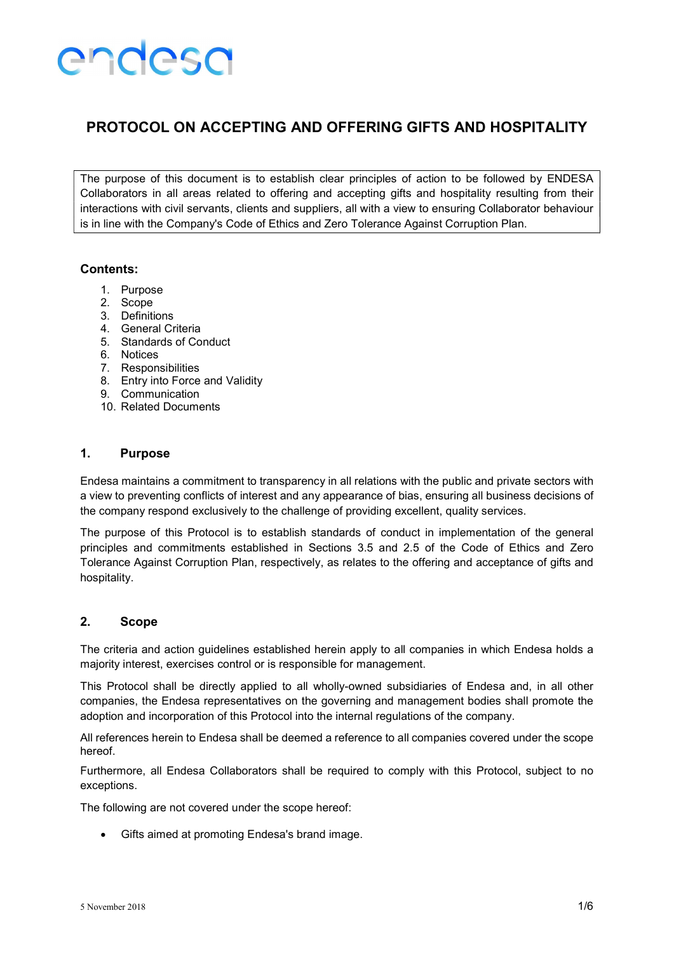### PROTOCOL ON ACCEPTING AND OFFERING GIFTS AND HOSPITALITY

The purpose of this document is to establish clear principles of action to be followed by ENDESA Collaborators in all areas related to offering and accepting gifts and hospitality resulting from their interactions with civil servants, clients and suppliers, all with a view to ensuring Collaborator behaviour is in line with the Company's Code of Ethics and Zero Tolerance Against Corruption Plan.

#### Contents:

- 1. Purpose
- 2. Scope
- 3. Definitions
- 4. General Criteria
- 5. Standards of Conduct
- 6. Notices
- 7. Responsibilities
- 8. Entry into Force and Validity
- 9. Communication
- 10. Related Documents

#### 1. Purpose

Endesa maintains a commitment to transparency in all relations with the public and private sectors with a view to preventing conflicts of interest and any appearance of bias, ensuring all business decisions of the company respond exclusively to the challenge of providing excellent, quality services.

The purpose of this Protocol is to establish standards of conduct in implementation of the general principles and commitments established in Sections 3.5 and 2.5 of the Code of Ethics and Zero Tolerance Against Corruption Plan, respectively, as relates to the offering and acceptance of gifts and hospitality.

#### 2. Scope

The criteria and action guidelines established herein apply to all companies in which Endesa holds a majority interest, exercises control or is responsible for management.

This Protocol shall be directly applied to all wholly-owned subsidiaries of Endesa and, in all other companies, the Endesa representatives on the governing and management bodies shall promote the adoption and incorporation of this Protocol into the internal regulations of the company.

All references herein to Endesa shall be deemed a reference to all companies covered under the scope hereof.

Furthermore, all Endesa Collaborators shall be required to comply with this Protocol, subject to no exceptions.

The following are not covered under the scope hereof:

Gifts aimed at promoting Endesa's brand image.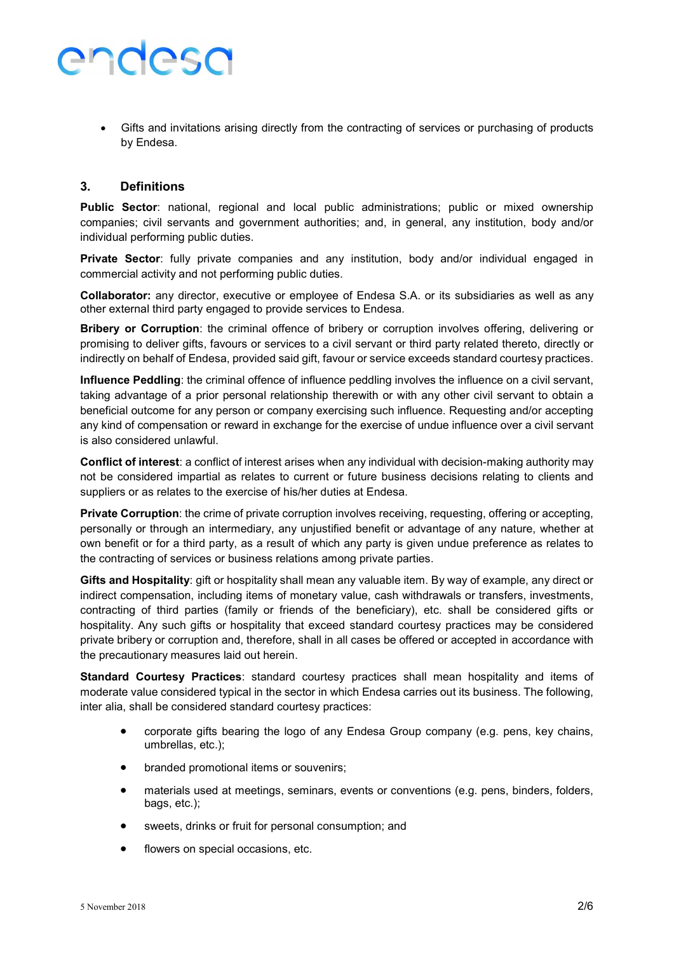Gifts and invitations arising directly from the contracting of services or purchasing of products by Endesa.

#### 3. Definitions

Public Sector: national, regional and local public administrations; public or mixed ownership companies; civil servants and government authorities; and, in general, any institution, body and/or individual performing public duties.

Private Sector: fully private companies and any institution, body and/or individual engaged in commercial activity and not performing public duties.

Collaborator: any director, executive or employee of Endesa S.A. or its subsidiaries as well as any other external third party engaged to provide services to Endesa.

**Bribery or Corruption**: the criminal offence of bribery or corruption involves offering, delivering or promising to deliver gifts, favours or services to a civil servant or third party related thereto, directly or indirectly on behalf of Endesa, provided said gift, favour or service exceeds standard courtesy practices.

Influence Peddling: the criminal offence of influence peddling involves the influence on a civil servant, taking advantage of a prior personal relationship therewith or with any other civil servant to obtain a beneficial outcome for any person or company exercising such influence. Requesting and/or accepting any kind of compensation or reward in exchange for the exercise of undue influence over a civil servant is also considered unlawful.

Conflict of interest: a conflict of interest arises when any individual with decision-making authority may not be considered impartial as relates to current or future business decisions relating to clients and suppliers or as relates to the exercise of his/her duties at Endesa.

Private Corruption: the crime of private corruption involves receiving, requesting, offering or accepting, personally or through an intermediary, any unjustified benefit or advantage of any nature, whether at own benefit or for a third party, as a result of which any party is given undue preference as relates to the contracting of services or business relations among private parties.

Gifts and Hospitality: gift or hospitality shall mean any valuable item. By way of example, any direct or indirect compensation, including items of monetary value, cash withdrawals or transfers, investments, contracting of third parties (family or friends of the beneficiary), etc. shall be considered gifts or hospitality. Any such gifts or hospitality that exceed standard courtesy practices may be considered private bribery or corruption and, therefore, shall in all cases be offered or accepted in accordance with the precautionary measures laid out herein.

Standard Courtesy Practices: standard courtesy practices shall mean hospitality and items of moderate value considered typical in the sector in which Endesa carries out its business. The following, inter alia, shall be considered standard courtesy practices:

- corporate gifts bearing the logo of any Endesa Group company (e.g. pens, key chains, umbrellas, etc.);
- branded promotional items or souvenirs;
- materials used at meetings, seminars, events or conventions (e.g. pens, binders, folders, bags, etc.);
- sweets, drinks or fruit for personal consumption; and
- **•** flowers on special occasions, etc.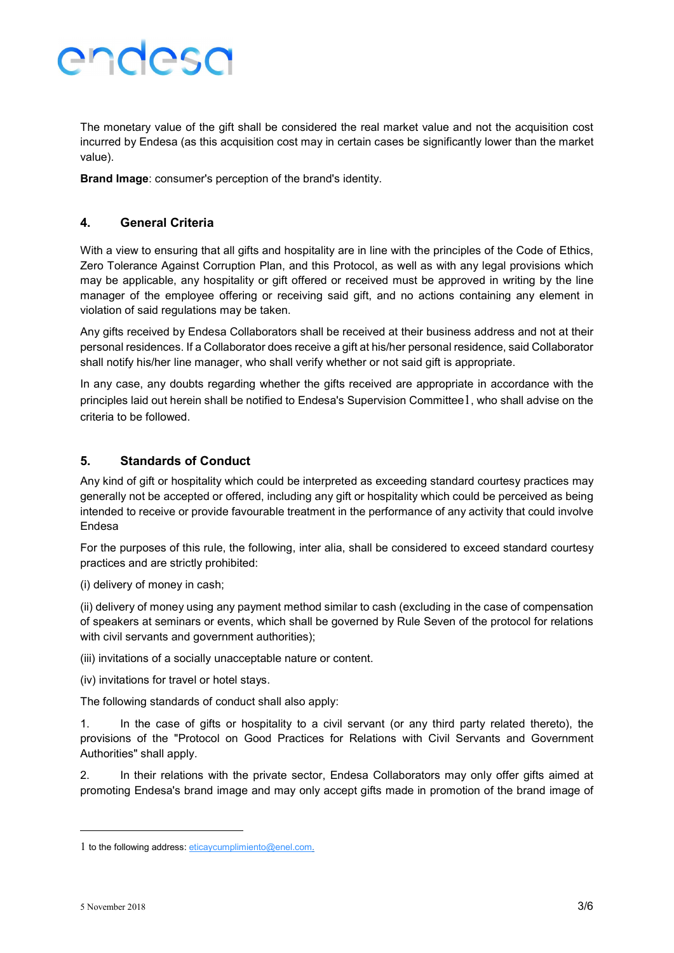The monetary value of the gift shall be considered the real market value and not the acquisition cost incurred by Endesa (as this acquisition cost may in certain cases be significantly lower than the market value).

Brand Image: consumer's perception of the brand's identity.

#### 4. General Criteria

With a view to ensuring that all gifts and hospitality are in line with the principles of the Code of Ethics, Zero Tolerance Against Corruption Plan, and this Protocol, as well as with any legal provisions which may be applicable, any hospitality or gift offered or received must be approved in writing by the line manager of the employee offering or receiving said gift, and no actions containing any element in violation of said regulations may be taken.

Any gifts received by Endesa Collaborators shall be received at their business address and not at their personal residences. If a Collaborator does receive a gift at his/her personal residence, said Collaborator shall notify his/her line manager, who shall verify whether or not said gift is appropriate.

In any case, any doubts regarding whether the gifts received are appropriate in accordance with the principles laid out herein shall be notified to Endesa's Supervision Committee1, who shall advise on the criteria to be followed.

#### 5. Standards of Conduct

Any kind of gift or hospitality which could be interpreted as exceeding standard courtesy practices may generally not be accepted or offered, including any gift or hospitality which could be perceived as being intended to receive or provide favourable treatment in the performance of any activity that could involve Endesa

For the purposes of this rule, the following, inter alia, shall be considered to exceed standard courtesy practices and are strictly prohibited:

(i) delivery of money in cash;

(ii) delivery of money using any payment method similar to cash (excluding in the case of compensation of speakers at seminars or events, which shall be governed by Rule Seven of the protocol for relations with civil servants and government authorities);

(iii) invitations of a socially unacceptable nature or content.

(iv) invitations for travel or hotel stays.

The following standards of conduct shall also apply:

1. In the case of gifts or hospitality to a civil servant (or any third party related thereto), the provisions of the "Protocol on Good Practices for Relations with Civil Servants and Government Authorities" shall apply.

2. In their relations with the private sector, Endesa Collaborators may only offer gifts aimed at promoting Endesa's brand image and may only accept gifts made in promotion of the brand image of

-

<sup>1</sup> to the following address: eticaycumplimiento@enel.com.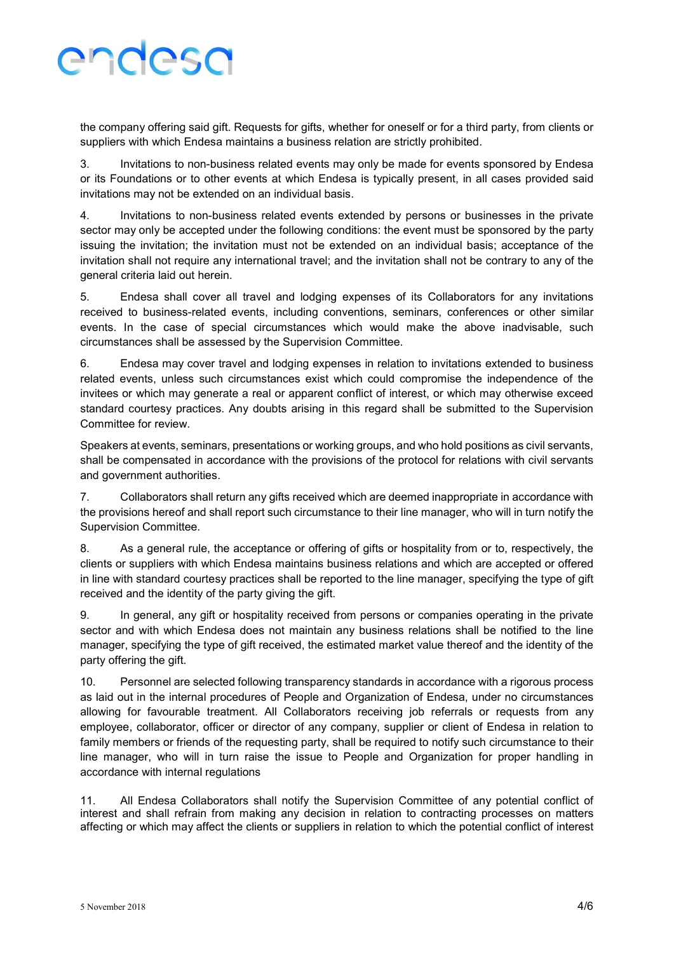the company offering said gift. Requests for gifts, whether for oneself or for a third party, from clients or suppliers with which Endesa maintains a business relation are strictly prohibited.

3. Invitations to non-business related events may only be made for events sponsored by Endesa or its Foundations or to other events at which Endesa is typically present, in all cases provided said invitations may not be extended on an individual basis.

4. Invitations to non-business related events extended by persons or businesses in the private sector may only be accepted under the following conditions: the event must be sponsored by the party issuing the invitation; the invitation must not be extended on an individual basis; acceptance of the invitation shall not require any international travel; and the invitation shall not be contrary to any of the general criteria laid out herein.

5. Endesa shall cover all travel and lodging expenses of its Collaborators for any invitations received to business-related events, including conventions, seminars, conferences or other similar events. In the case of special circumstances which would make the above inadvisable, such circumstances shall be assessed by the Supervision Committee.

6. Endesa may cover travel and lodging expenses in relation to invitations extended to business related events, unless such circumstances exist which could compromise the independence of the invitees or which may generate a real or apparent conflict of interest, or which may otherwise exceed standard courtesy practices. Any doubts arising in this regard shall be submitted to the Supervision Committee for review.

Speakers at events, seminars, presentations or working groups, and who hold positions as civil servants, shall be compensated in accordance with the provisions of the protocol for relations with civil servants and government authorities.

7. Collaborators shall return any gifts received which are deemed inappropriate in accordance with the provisions hereof and shall report such circumstance to their line manager, who will in turn notify the Supervision Committee.

8. As a general rule, the acceptance or offering of gifts or hospitality from or to, respectively, the clients or suppliers with which Endesa maintains business relations and which are accepted or offered in line with standard courtesy practices shall be reported to the line manager, specifying the type of gift received and the identity of the party giving the gift.

9. In general, any gift or hospitality received from persons or companies operating in the private sector and with which Endesa does not maintain any business relations shall be notified to the line manager, specifying the type of gift received, the estimated market value thereof and the identity of the party offering the gift.

10. Personnel are selected following transparency standards in accordance with a rigorous process as laid out in the internal procedures of People and Organization of Endesa, under no circumstances allowing for favourable treatment. All Collaborators receiving job referrals or requests from any employee, collaborator, officer or director of any company, supplier or client of Endesa in relation to family members or friends of the requesting party, shall be required to notify such circumstance to their line manager, who will in turn raise the issue to People and Organization for proper handling in accordance with internal regulations

11. All Endesa Collaborators shall notify the Supervision Committee of any potential conflict of interest and shall refrain from making any decision in relation to contracting processes on matters affecting or which may affect the clients or suppliers in relation to which the potential conflict of interest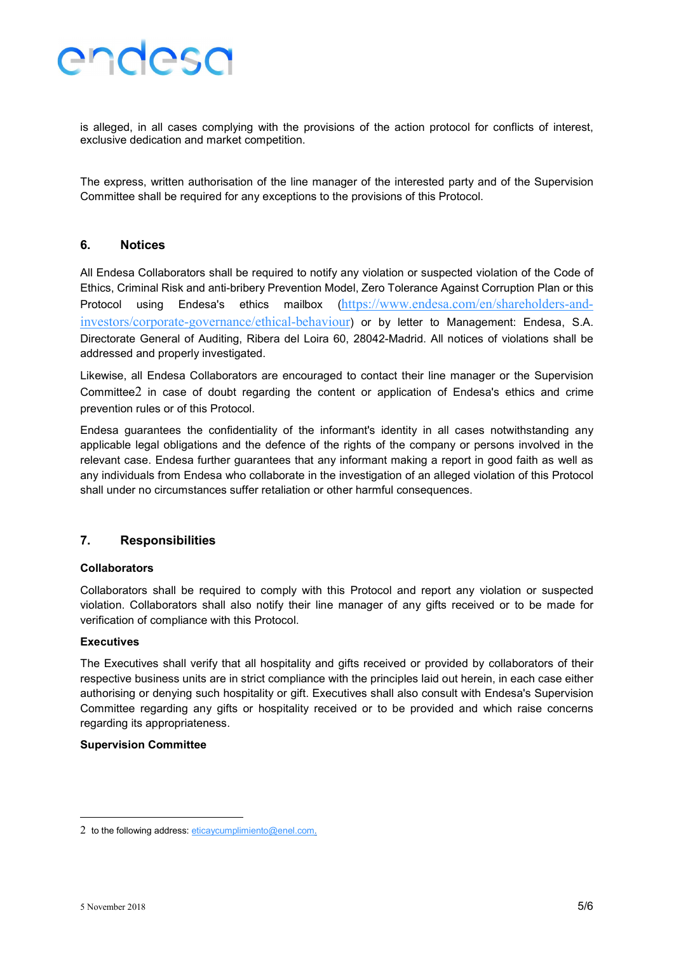is alleged, in all cases complying with the provisions of the action protocol for conflicts of interest, exclusive dedication and market competition.

The express, written authorisation of the line manager of the interested party and of the Supervision Committee shall be required for any exceptions to the provisions of this Protocol.

#### 6. Notices

All Endesa Collaborators shall be required to notify any violation or suspected violation of the Code of Ethics, Criminal Risk and anti-bribery Prevention Model, Zero Tolerance Against Corruption Plan or this Protocol using Endesa's ethics mailbox (https://www.endesa.com/en/shareholders-andinvestors/corporate-governance/ethical-behaviour) or by letter to Management: Endesa, S.A. Directorate General of Auditing, Ribera del Loira 60, 28042-Madrid. All notices of violations shall be addressed and properly investigated.

Likewise, all Endesa Collaborators are encouraged to contact their line manager or the Supervision Committee2 in case of doubt regarding the content or application of Endesa's ethics and crime prevention rules or of this Protocol.

Endesa guarantees the confidentiality of the informant's identity in all cases notwithstanding any applicable legal obligations and the defence of the rights of the company or persons involved in the relevant case. Endesa further guarantees that any informant making a report in good faith as well as any individuals from Endesa who collaborate in the investigation of an alleged violation of this Protocol shall under no circumstances suffer retaliation or other harmful consequences.

#### 7. Responsibilities

#### **Collaborators**

Collaborators shall be required to comply with this Protocol and report any violation or suspected violation. Collaborators shall also notify their line manager of any gifts received or to be made for verification of compliance with this Protocol.

#### Executives

The Executives shall verify that all hospitality and gifts received or provided by collaborators of their respective business units are in strict compliance with the principles laid out herein, in each case either authorising or denying such hospitality or gift. Executives shall also consult with Endesa's Supervision Committee regarding any gifts or hospitality received or to be provided and which raise concerns regarding its appropriateness.

#### Supervision Committee

-

<sup>2</sup> to the following address:  $eticaycumplimiento@enel.com$ .